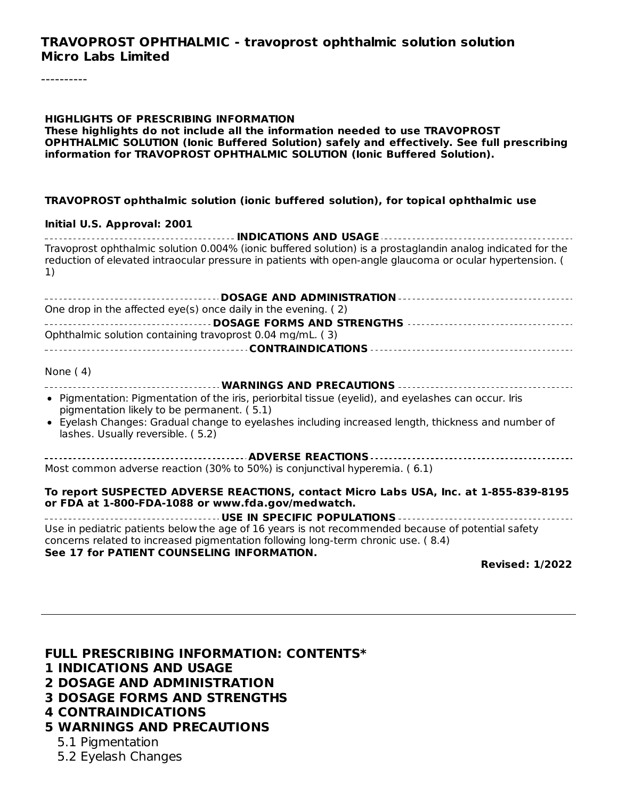#### **TRAVOPROST OPHTHALMIC - travoprost ophthalmic solution solution Micro Labs Limited**

#### **HIGHLIGHTS OF PRESCRIBING INFORMATION These highlights do not include all the information needed to use TRAVOPROST OPHTHALMIC SOLUTION (Ionic Buffered Solution) safely and effectively. See full prescribing information for TRAVOPROST OPHTHALMIC SOLUTION (Ionic Buffered Solution).**

#### **TRAVOPROST ophthalmic solution (ionic buffered solution), for topical ophthalmic use**

#### **Initial U.S. Approval: 2001**

**INDICATIONS AND USAGE** Travoprost ophthalmic solution 0.004% (ionic buffered solution) is a prostaglandin analog indicated for the reduction of elevated intraocular pressure in patients with open-angle glaucoma or ocular hypertension. ( 1)

| One drop in the affected eye(s) once daily in the evening. (2)                                                                                     |
|----------------------------------------------------------------------------------------------------------------------------------------------------|
|                                                                                                                                                    |
| Ophthalmic solution containing travoprost 0.04 mg/mL. (3)                                                                                          |
|                                                                                                                                                    |
| None $(4)$                                                                                                                                         |
|                                                                                                                                                    |
| • Pigmentation: Pigmentation of the iris, periorbital tissue (eyelid), and eyelashes can occur. Iris<br>pigmentation likely to be permanent. (5.1) |
| • Eyelash Changes: Gradual change to eyelashes including increased length, thickness and number of<br>lashes. Usually reversible. (5.2)            |
|                                                                                                                                                    |
| Most common adverse reaction (30% to 50%) is conjunctival hyperemia. (6.1)                                                                         |
| To report SUSPECTED ADVERSE REACTIONS, contact Micro Labs USA, Inc. at 1-855-839-8195<br>or FDA at 1-800-FDA-1088 or www.fda.gov/medwatch.         |
|                                                                                                                                                    |
| Use in pediatric patients below the age of 16 years is not recommended because of potential safety                                                 |

concerns related to increased pigmentation following long-term chronic use. ( 8.4) **See 17 for PATIENT COUNSELING INFORMATION.**

**Revised: 1/2022**

#### **FULL PRESCRIBING INFORMATION: CONTENTS\***

- **1 INDICATIONS AND USAGE**
- **2 DOSAGE AND ADMINISTRATION**
- **3 DOSAGE FORMS AND STRENGTHS**
- **4 CONTRAINDICATIONS**
- **5 WARNINGS AND PRECAUTIONS**
	- 5.1 Pigmentation
	- 5.2 Eyelash Changes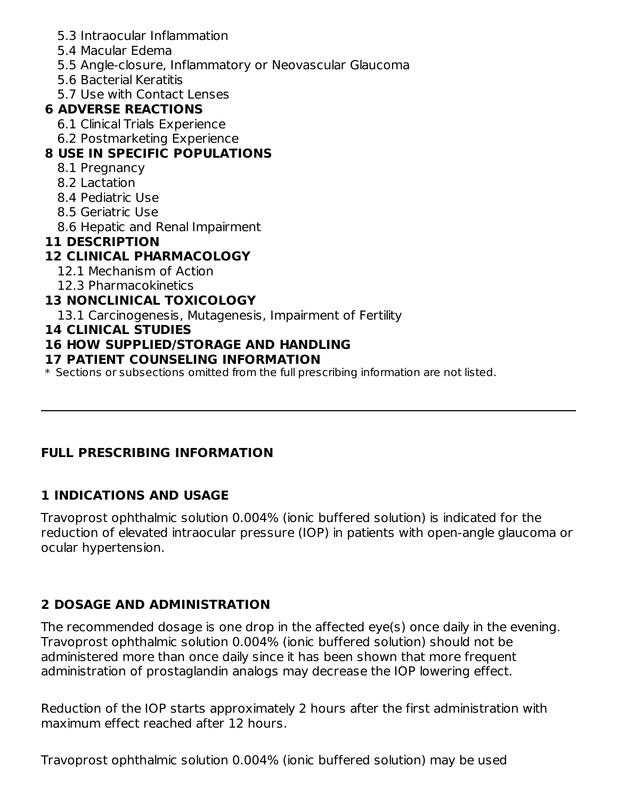- 5.3 Intraocular Inflammation
- 5.4 Macular Edema
- 5.5 Angle-closure, Inflammatory or Neovascular Glaucoma
- 5.6 Bacterial Keratitis
- 5.7 Use with Contact Lenses

### **6 ADVERSE REACTIONS**

- 6.1 Clinical Trials Experience
- 6.2 Postmarketing Experience

## **8 USE IN SPECIFIC POPULATIONS**

- 8.1 Pregnancy
- 8.2 Lactation
- 8.4 Pediatric Use
- 8.5 Geriatric Use
- 8.6 Hepatic and Renal Impairment

## **11 DESCRIPTION**

## **12 CLINICAL PHARMACOLOGY**

- 12.1 Mechanism of Action
- 12.3 Pharmacokinetics

## **13 NONCLINICAL TOXICOLOGY**

13.1 Carcinogenesis, Mutagenesis, Impairment of Fertility

#### **14 CLINICAL STUDIES**

## **16 HOW SUPPLIED/STORAGE AND HANDLING**

### **17 PATIENT COUNSELING INFORMATION**

 $\ast$  Sections or subsections omitted from the full prescribing information are not listed.

## **FULL PRESCRIBING INFORMATION**

## **1 INDICATIONS AND USAGE**

Travoprost ophthalmic solution 0.004% (ionic buffered solution) is indicated for the reduction of elevated intraocular pressure (IOP) in patients with open-angle glaucoma or ocular hypertension.

## **2 DOSAGE AND ADMINISTRATION**

The recommended dosage is one drop in the affected eye(s) once daily in the evening. Travoprost ophthalmic solution 0.004% (ionic buffered solution) should not be administered more than once daily since it has been shown that more frequent administration of prostaglandin analogs may decrease the IOP lowering effect.

Reduction of the IOP starts approximately 2 hours after the first administration with maximum effect reached after 12 hours.

Travoprost ophthalmic solution 0.004% (ionic buffered solution) may be used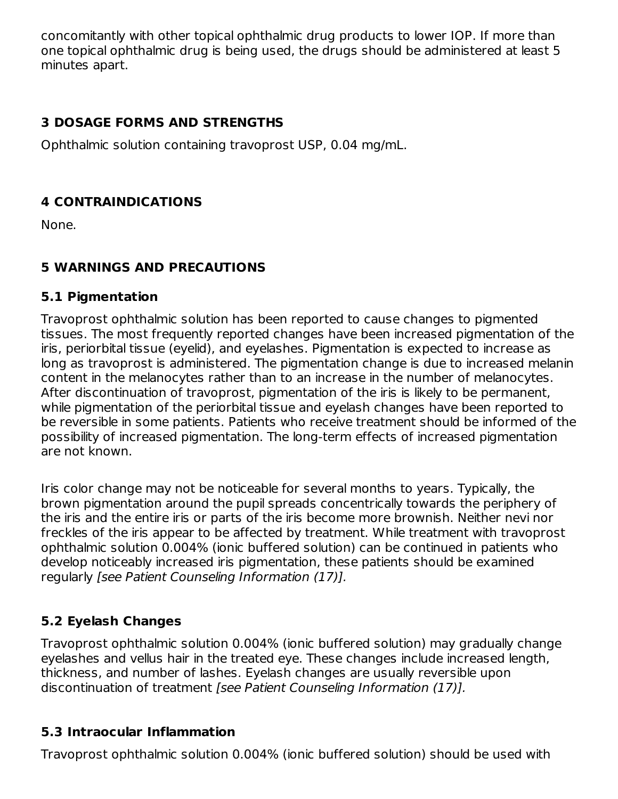concomitantly with other topical ophthalmic drug products to lower IOP. If more than one topical ophthalmic drug is being used, the drugs should be administered at least 5 minutes apart.

### **3 DOSAGE FORMS AND STRENGTHS**

Ophthalmic solution containing travoprost USP, 0.04 mg/mL.

### **4 CONTRAINDICATIONS**

None.

### **5 WARNINGS AND PRECAUTIONS**

#### **5.1 Pigmentation**

Travoprost ophthalmic solution has been reported to cause changes to pigmented tissues. The most frequently reported changes have been increased pigmentation of the iris, periorbital tissue (eyelid), and eyelashes. Pigmentation is expected to increase as long as travoprost is administered. The pigmentation change is due to increased melanin content in the melanocytes rather than to an increase in the number of melanocytes. After discontinuation of travoprost, pigmentation of the iris is likely to be permanent, while pigmentation of the periorbital tissue and eyelash changes have been reported to be reversible in some patients. Patients who receive treatment should be informed of the possibility of increased pigmentation. The long-term effects of increased pigmentation are not known.

Iris color change may not be noticeable for several months to years. Typically, the brown pigmentation around the pupil spreads concentrically towards the periphery of the iris and the entire iris or parts of the iris become more brownish. Neither nevi nor freckles of the iris appear to be affected by treatment. While treatment with travoprost ophthalmic solution 0.004% (ionic buffered solution) can be continued in patients who develop noticeably increased iris pigmentation, these patients should be examined regularly [see Patient Counseling Information (17)].

## **5.2 Eyelash Changes**

Travoprost ophthalmic solution 0.004% (ionic buffered solution) may gradually change eyelashes and vellus hair in the treated eye. These changes include increased length, thickness, and number of lashes. Eyelash changes are usually reversible upon discontinuation of treatment [see Patient Counseling Information (17)].

### **5.3 Intraocular Inflammation**

Travoprost ophthalmic solution 0.004% (ionic buffered solution) should be used with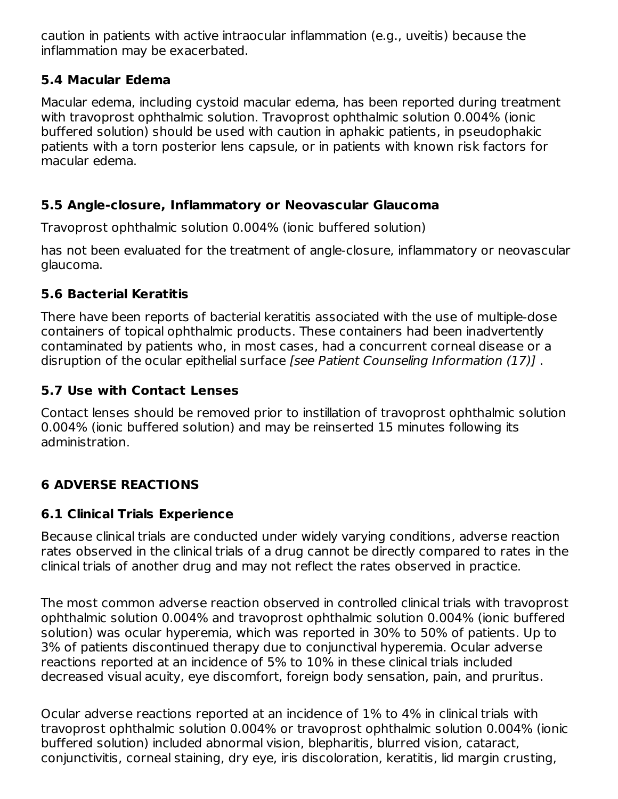caution in patients with active intraocular inflammation (e.g., uveitis) because the inflammation may be exacerbated.

### **5.4 Macular Edema**

Macular edema, including cystoid macular edema, has been reported during treatment with travoprost ophthalmic solution. Travoprost ophthalmic solution 0.004% (ionic buffered solution) should be used with caution in aphakic patients, in pseudophakic patients with a torn posterior lens capsule, or in patients with known risk factors for macular edema.

## **5.5 Angle-closure, Inflammatory or Neovascular Glaucoma**

Travoprost ophthalmic solution 0.004% (ionic buffered solution)

has not been evaluated for the treatment of angle-closure, inflammatory or neovascular glaucoma.

## **5.6 Bacterial Keratitis**

There have been reports of bacterial keratitis associated with the use of multiple-dose containers of topical ophthalmic products. These containers had been inadvertently contaminated by patients who, in most cases, had a concurrent corneal disease or a disruption of the ocular epithelial surface [see Patient Counseling Information (17)].

## **5.7 Use with Contact Lenses**

Contact lenses should be removed prior to instillation of travoprost ophthalmic solution 0.004% (ionic buffered solution) and may be reinserted 15 minutes following its administration.

## **6 ADVERSE REACTIONS**

## **6.1 Clinical Trials Experience**

Because clinical trials are conducted under widely varying conditions, adverse reaction rates observed in the clinical trials of a drug cannot be directly compared to rates in the clinical trials of another drug and may not reflect the rates observed in practice.

The most common adverse reaction observed in controlled clinical trials with travoprost ophthalmic solution 0.004% and travoprost ophthalmic solution 0.004% (ionic buffered solution) was ocular hyperemia, which was reported in 30% to 50% of patients. Up to 3% of patients discontinued therapy due to conjunctival hyperemia. Ocular adverse reactions reported at an incidence of 5% to 10% in these clinical trials included decreased visual acuity, eye discomfort, foreign body sensation, pain, and pruritus.

Ocular adverse reactions reported at an incidence of 1% to 4% in clinical trials with travoprost ophthalmic solution 0.004% or travoprost ophthalmic solution 0.004% (ionic buffered solution) included abnormal vision, blepharitis, blurred vision, cataract, conjunctivitis, corneal staining, dry eye, iris discoloration, keratitis, lid margin crusting,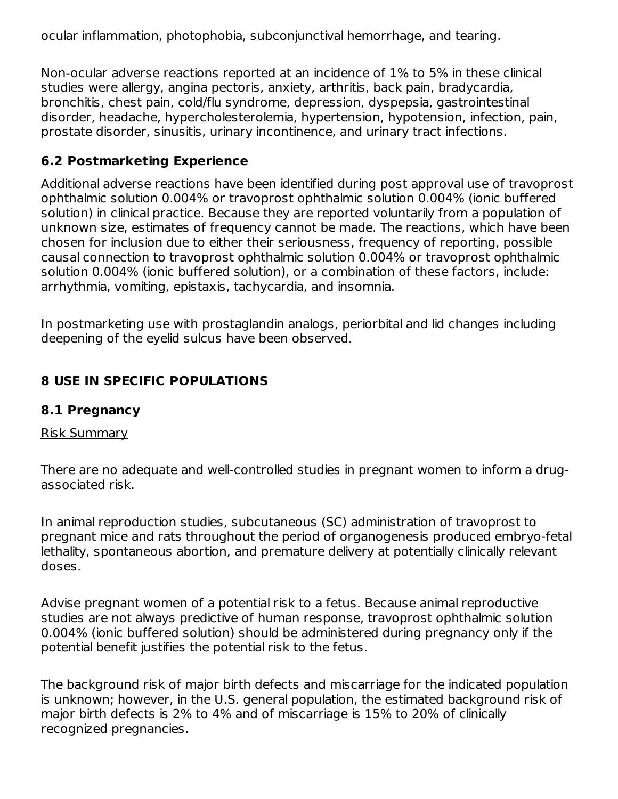ocular inflammation, photophobia, subconjunctival hemorrhage, and tearing.

Non-ocular adverse reactions reported at an incidence of 1% to 5% in these clinical studies were allergy, angina pectoris, anxiety, arthritis, back pain, bradycardia, bronchitis, chest pain, cold/flu syndrome, depression, dyspepsia, gastrointestinal disorder, headache, hypercholesterolemia, hypertension, hypotension, infection, pain, prostate disorder, sinusitis, urinary incontinence, and urinary tract infections.

### **6.2 Postmarketing Experience**

Additional adverse reactions have been identified during post approval use of travoprost ophthalmic solution 0.004% or travoprost ophthalmic solution 0.004% (ionic buffered solution) in clinical practice. Because they are reported voluntarily from a population of unknown size, estimates of frequency cannot be made. The reactions, which have been chosen for inclusion due to either their seriousness, frequency of reporting, possible causal connection to travoprost ophthalmic solution 0.004% or travoprost ophthalmic solution 0.004% (ionic buffered solution), or a combination of these factors, include: arrhythmia, vomiting, epistaxis, tachycardia, and insomnia.

In postmarketing use with prostaglandin analogs, periorbital and lid changes including deepening of the eyelid sulcus have been observed.

## **8 USE IN SPECIFIC POPULATIONS**

### **8.1 Pregnancy**

#### Risk Summary

There are no adequate and well-controlled studies in pregnant women to inform a drugassociated risk.

In animal reproduction studies, subcutaneous (SC) administration of travoprost to pregnant mice and rats throughout the period of organogenesis produced embryo-fetal lethality, spontaneous abortion, and premature delivery at potentially clinically relevant doses.

Advise pregnant women of a potential risk to a fetus. Because animal reproductive studies are not always predictive of human response, travoprost ophthalmic solution 0.004% (ionic buffered solution) should be administered during pregnancy only if the potential benefit justifies the potential risk to the fetus.

The background risk of major birth defects and miscarriage for the indicated population is unknown; however, in the U.S. general population, the estimated background risk of major birth defects is 2% to 4% and of miscarriage is 15% to 20% of clinically recognized pregnancies.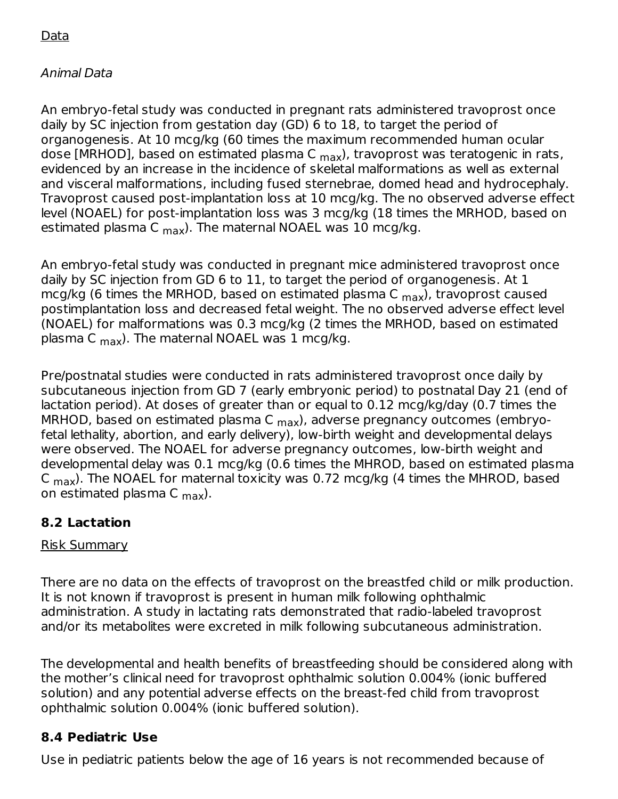## Data

## Animal Data

An embryo-fetal study was conducted in pregnant rats administered travoprost once daily by SC injection from gestation day (GD) 6 to 18, to target the period of organogenesis. At 10 mcg/kg (60 times the maximum recommended human ocular dose [MRHOD], based on estimated plasma C <sub>max</sub>), travoprost was teratogenic in rats, evidenced by an increase in the incidence of skeletal malformations as well as external and visceral malformations, including fused sternebrae, domed head and hydrocephaly. Travoprost caused post-implantation loss at 10 mcg/kg. The no observed adverse effect level (NOAEL) for post-implantation loss was 3 mcg/kg (18 times the MRHOD, based on estimated plasma C <sub>max</sub>). The maternal NOAEL was 10 mcg/kg.

An embryo-fetal study was conducted in pregnant mice administered travoprost once daily by SC injection from GD 6 to 11, to target the period of organogenesis. At 1 mcg/kg (6 times the MRHOD, based on estimated plasma C <sub>max</sub>), travoprost caused postimplantation loss and decreased fetal weight. The no observed adverse effect level (NOAEL) for malformations was 0.3 mcg/kg (2 times the MRHOD, based on estimated plasma C <sub>max</sub>). The maternal NOAEL was 1 mcg/kg.

Pre/postnatal studies were conducted in rats administered travoprost once daily by subcutaneous injection from GD 7 (early embryonic period) to postnatal Day 21 (end of lactation period). At doses of greater than or equal to 0.12 mcg/kg/day (0.7 times the MRHOD, based on estimated plasma C <sub>max</sub>), adverse pregnancy outcomes (embryofetal lethality, abortion, and early delivery), low-birth weight and developmental delays were observed. The NOAEL for adverse pregnancy outcomes, low-birth weight and developmental delay was 0.1 mcg/kg (0.6 times the MHROD, based on estimated plasma C <sub>max</sub>). The NOAEL for maternal toxicity was 0.72 mcg/kg (4 times the MHROD, based on estimated plasma C <sub>max</sub>).

### **8.2 Lactation**

### Risk Summary

There are no data on the effects of travoprost on the breastfed child or milk production. It is not known if travoprost is present in human milk following ophthalmic administration. A study in lactating rats demonstrated that radio-labeled travoprost and/or its metabolites were excreted in milk following subcutaneous administration.

The developmental and health benefits of breastfeeding should be considered along with the mother's clinical need for travoprost ophthalmic solution 0.004% (ionic buffered solution) and any potential adverse effects on the breast-fed child from travoprost ophthalmic solution 0.004% (ionic buffered solution).

## **8.4 Pediatric Use**

Use in pediatric patients below the age of 16 years is not recommended because of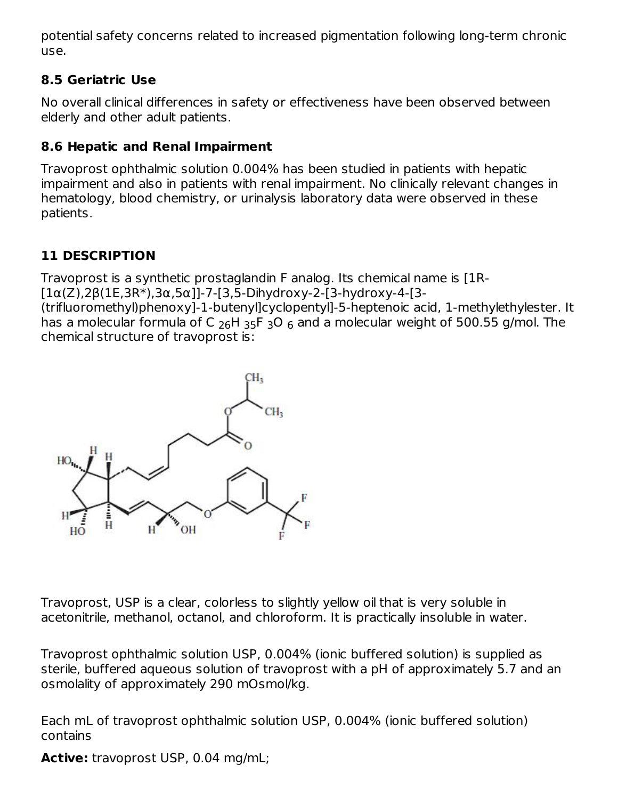potential safety concerns related to increased pigmentation following long-term chronic use.

## **8.5 Geriatric Use**

No overall clinical differences in safety or effectiveness have been observed between elderly and other adult patients.

## **8.6 Hepatic and Renal Impairment**

Travoprost ophthalmic solution 0.004% has been studied in patients with hepatic impairment and also in patients with renal impairment. No clinically relevant changes in hematology, blood chemistry, or urinalysis laboratory data were observed in these patients.

# **11 DESCRIPTION**

Travoprost is a synthetic prostaglandin F analog. Its chemical name is [1R- [1α(Z),2β(1E,3R\*),3α,5α]]-7-[3,5-Dihydroxy-2-[3-hydroxy-4-[3-

(trifluoromethyl)phenoxy]-1-butenyl]cyclopentyl]-5-heptenoic acid, 1-methylethylester. It has a molecular formula of C  $_{26}$ H  $_{35}$ F  $_{3}$ O  $_{6}$  and a molecular weight of 500.55 g/mol. The chemical structure of travoprost is:



Travoprost, USP is a clear, colorless to slightly yellow oil that is very soluble in acetonitrile, methanol, octanol, and chloroform. It is practically insoluble in water.

Travoprost ophthalmic solution USP, 0.004% (ionic buffered solution) is supplied as sterile, buffered aqueous solution of travoprost with a pH of approximately 5.7 and an osmolality of approximately 290 mOsmol/kg.

Each mL of travoprost ophthalmic solution USP, 0.004% (ionic buffered solution) contains

**Active:** travoprost USP, 0.04 mg/mL;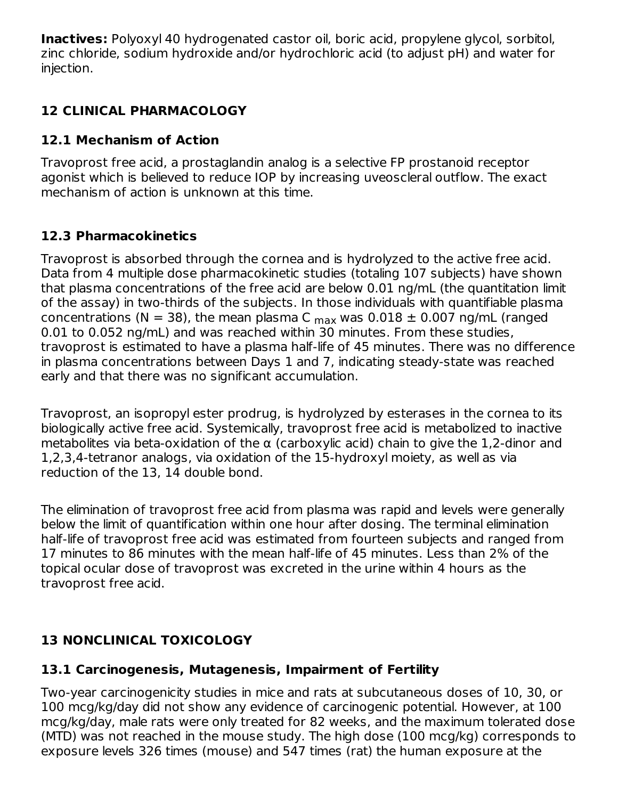**Inactives:** Polyoxyl 40 hydrogenated castor oil, boric acid, propylene glycol, sorbitol, zinc chloride, sodium hydroxide and/or hydrochloric acid (to adjust pH) and water for injection.

## **12 CLINICAL PHARMACOLOGY**

## **12.1 Mechanism of Action**

Travoprost free acid, a prostaglandin analog is a selective FP prostanoid receptor agonist which is believed to reduce IOP by increasing uveoscleral outflow. The exact mechanism of action is unknown at this time.

## **12.3 Pharmacokinetics**

Travoprost is absorbed through the cornea and is hydrolyzed to the active free acid. Data from 4 multiple dose pharmacokinetic studies (totaling 107 subjects) have shown that plasma concentrations of the free acid are below 0.01 ng/mL (the quantitation limit of the assay) in two-thirds of the subjects. In those individuals with quantifiable plasma concentrations (N = 38), the mean plasma C  $_{\sf max}$  was 0.018  $\pm$  0.007 ng/mL (ranged 0.01 to 0.052 ng/mL) and was reached within 30 minutes. From these studies, travoprost is estimated to have a plasma half-life of 45 minutes. There was no difference in plasma concentrations between Days 1 and 7, indicating steady-state was reached early and that there was no significant accumulation.

Travoprost, an isopropyl ester prodrug, is hydrolyzed by esterases in the cornea to its biologically active free acid. Systemically, travoprost free acid is metabolized to inactive metabolites via beta-oxidation of the  $\alpha$  (carboxylic acid) chain to give the 1,2-dinor and 1,2,3,4-tetranor analogs, via oxidation of the 15-hydroxyl moiety, as well as via reduction of the 13, 14 double bond.

The elimination of travoprost free acid from plasma was rapid and levels were generally below the limit of quantification within one hour after dosing. The terminal elimination half-life of travoprost free acid was estimated from fourteen subjects and ranged from 17 minutes to 86 minutes with the mean half-life of 45 minutes. Less than 2% of the topical ocular dose of travoprost was excreted in the urine within 4 hours as the travoprost free acid.

## **13 NONCLINICAL TOXICOLOGY**

# **13.1 Carcinogenesis, Mutagenesis, Impairment of Fertility**

Two-year carcinogenicity studies in mice and rats at subcutaneous doses of 10, 30, or 100 mcg/kg/day did not show any evidence of carcinogenic potential. However, at 100 mcg/kg/day, male rats were only treated for 82 weeks, and the maximum tolerated dose (MTD) was not reached in the mouse study. The high dose (100 mcg/kg) corresponds to exposure levels 326 times (mouse) and 547 times (rat) the human exposure at the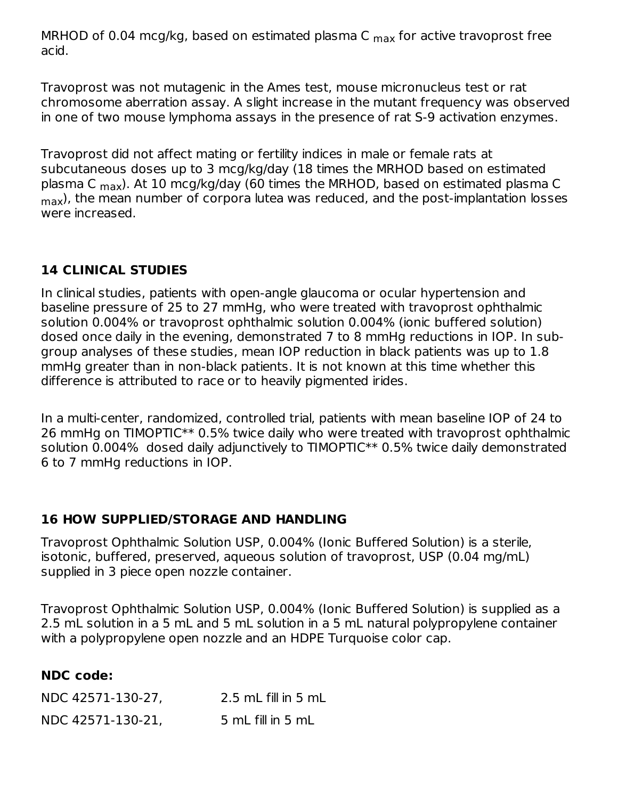MRHOD of 0.04 mcg/kg, based on estimated plasma C <sub>max</sub> for active travoprost free acid.

Travoprost was not mutagenic in the Ames test, mouse micronucleus test or rat chromosome aberration assay. A slight increase in the mutant frequency was observed in one of two mouse lymphoma assays in the presence of rat S-9 activation enzymes.

Travoprost did not affect mating or fertility indices in male or female rats at subcutaneous doses up to 3 mcg/kg/day (18 times the MRHOD based on estimated plasma C <sub>max</sub>). At 10 mcg/kg/day (60 times the MRHOD, based on estimated plasma C  $_{\sf max}$ ), the mean number of corpora lutea was reduced, and the post-implantation losses were increased.

### **14 CLINICAL STUDIES**

In clinical studies, patients with open-angle glaucoma or ocular hypertension and baseline pressure of 25 to 27 mmHg, who were treated with travoprost ophthalmic solution 0.004% or travoprost ophthalmic solution 0.004% (ionic buffered solution) dosed once daily in the evening, demonstrated 7 to 8 mmHg reductions in IOP. In subgroup analyses of these studies, mean IOP reduction in black patients was up to 1.8 mmHg greater than in non-black patients. It is not known at this time whether this difference is attributed to race or to heavily pigmented irides.

In a multi-center, randomized, controlled trial, patients with mean baseline IOP of 24 to 26 mmHg on TIMOPTIC\*\* 0.5% twice daily who were treated with travoprost ophthalmic solution 0.004% dosed daily adjunctively to TIMOPTIC\*\* 0.5% twice daily demonstrated 6 to 7 mmHg reductions in IOP.

### **16 HOW SUPPLIED/STORAGE AND HANDLING**

Travoprost Ophthalmic Solution USP, 0.004% (Ionic Buffered Solution) is a sterile, isotonic, buffered, preserved, aqueous solution of travoprost, USP (0.04 mg/mL) supplied in 3 piece open nozzle container.

Travoprost Ophthalmic Solution USP, 0.004% (Ionic Buffered Solution) is supplied as a 2.5 mL solution in a 5 mL and 5 mL solution in a 5 mL natural polypropylene container with a polypropylene open nozzle and an HDPE Turquoise color cap.

### **NDC code:**

| NDC 42571-130-27, | 2.5 mL fill in 5 mL |
|-------------------|---------------------|
| NDC 42571-130-21, | 5 mL fill in 5 mL   |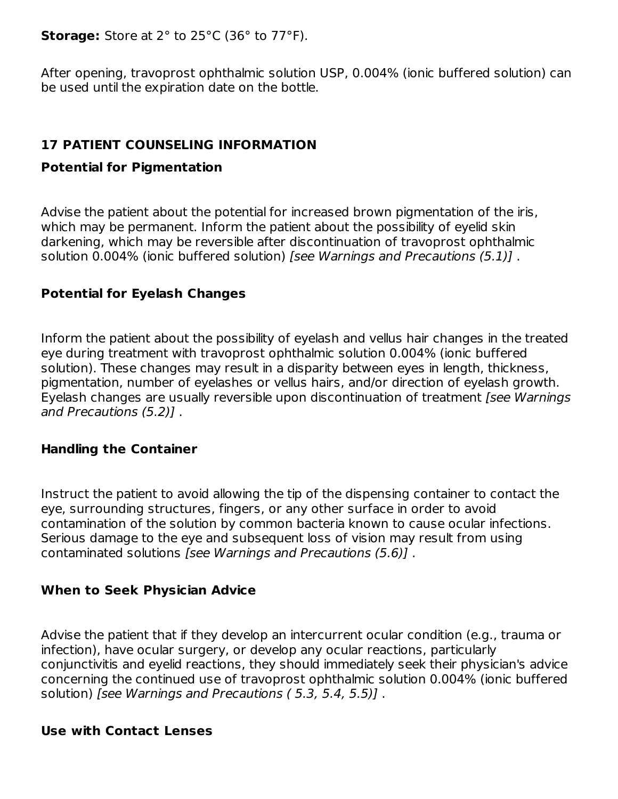**Storage:** Store at 2° to 25°C (36° to 77°F).

After opening, travoprost ophthalmic solution USP, 0.004% (ionic buffered solution) can be used until the expiration date on the bottle.

## **17 PATIENT COUNSELING INFORMATION**

### **Potential for Pigmentation**

Advise the patient about the potential for increased brown pigmentation of the iris, which may be permanent. Inform the patient about the possibility of eyelid skin darkening, which may be reversible after discontinuation of travoprost ophthalmic solution 0.004% (ionic buffered solution) [see Warnings and Precautions (5.1)] .

### **Potential for Eyelash Changes**

Inform the patient about the possibility of eyelash and vellus hair changes in the treated eye during treatment with travoprost ophthalmic solution 0.004% (ionic buffered solution). These changes may result in a disparity between eyes in length, thickness, pigmentation, number of eyelashes or vellus hairs, and/or direction of eyelash growth. Eyelash changes are usually reversible upon discontinuation of treatment [see Warnings and Precautions (5.2)] .

### **Handling the Container**

Instruct the patient to avoid allowing the tip of the dispensing container to contact the eye, surrounding structures, fingers, or any other surface in order to avoid contamination of the solution by common bacteria known to cause ocular infections. Serious damage to the eye and subsequent loss of vision may result from using contaminated solutions [see Warnings and Precautions (5.6)] .

### **When to Seek Physician Advice**

Advise the patient that if they develop an intercurrent ocular condition (e.g., trauma or infection), have ocular surgery, or develop any ocular reactions, particularly conjunctivitis and eyelid reactions, they should immediately seek their physician's advice concerning the continued use of travoprost ophthalmic solution 0.004% (ionic buffered solution) [see Warnings and Precautions (5.3, 5.4, 5.5)].

#### **Use with Contact Lenses**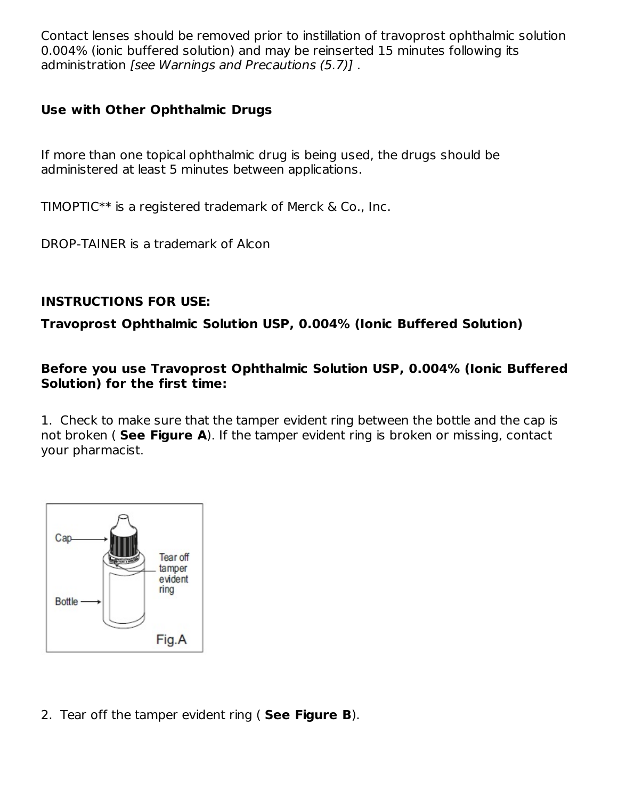Contact lenses should be removed prior to instillation of travoprost ophthalmic solution 0.004% (ionic buffered solution) and may be reinserted 15 minutes following its administration [see Warnings and Precautions (5.7)] .

## **Use with Other Ophthalmic Drugs**

If more than one topical ophthalmic drug is being used, the drugs should be administered at least 5 minutes between applications.

TIMOPTIC\*\* is a registered trademark of Merck & Co., Inc.

DROP-TAINER is a trademark of Alcon

## **INSTRUCTIONS FOR USE:**

**Travoprost Ophthalmic Solution USP, 0.004% (Ionic Buffered Solution)**

**Before you use Travoprost Ophthalmic Solution USP, 0.004% (Ionic Buffered Solution) for the first time:**

1. Check to make sure that the tamper evident ring between the bottle and the cap is not broken ( **See Figure A**). If the tamper evident ring is broken or missing, contact your pharmacist.



2. Tear off the tamper evident ring ( **See Figure B**).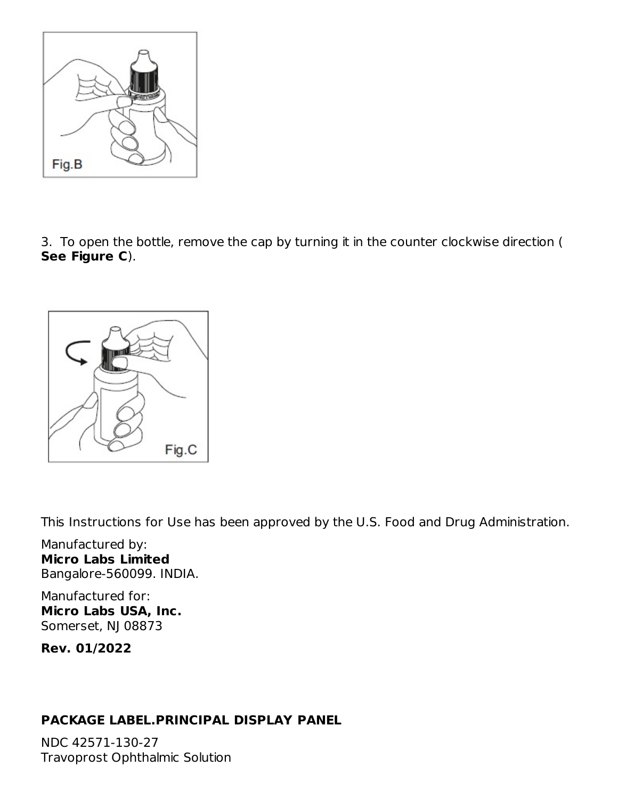

3. To open the bottle, remove the cap by turning it in the counter clockwise direction ( **See Figure C**).



This Instructions for Use has been approved by the U.S. Food and Drug Administration.

Manufactured by: **Micro Labs Limited** Bangalore-560099. INDIA.

Manufactured for: **Micro Labs USA, Inc.** Somerset, NJ 08873

**Rev. 01/2022**

## **PACKAGE LABEL.PRINCIPAL DISPLAY PANEL**

NDC 42571-130-27 Travoprost Ophthalmic Solution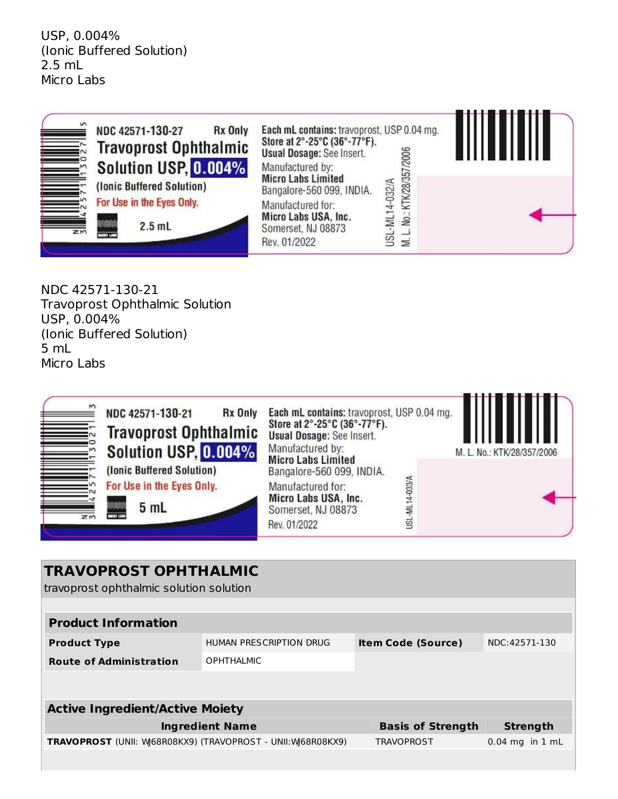USP, 0.004% (Ionic Buffered Solution) 2.5 mL Micro Labs



NDC 42571-130-21 Travoprost Ophthalmic Solution USP, 0.004% (Ionic Buffered Solution) 5 mL Micro Labs



| <b>TRAVOPROST OPHTHALMIC</b><br>travoprost ophthalmic solution solution |                                                      |  |                          |                     |  |
|-------------------------------------------------------------------------|------------------------------------------------------|--|--------------------------|---------------------|--|
|                                                                         |                                                      |  |                          |                     |  |
| <b>Product Information</b>                                              |                                                      |  |                          |                     |  |
| <b>Product Type</b>                                                     | HUMAN PRESCRIPTION DRUG<br><b>Item Code (Source)</b> |  |                          | NDC: 42571-130      |  |
| <b>Route of Administration</b>                                          | <b>OPHTHALMIC</b>                                    |  |                          |                     |  |
|                                                                         |                                                      |  |                          |                     |  |
| <b>Active Ingredient/Active Moiety</b>                                  |                                                      |  |                          |                     |  |
| <b>Ingredient Name</b>                                                  |                                                      |  | <b>Basis of Strength</b> | <b>Strength</b>     |  |
| TRAVOPROST (UNII: W68R08KX9) (TRAVOPROST - UNII: W68R08KX9)             |                                                      |  | <b>TRAVOPROST</b>        | $0.04$ mg in $1$ mL |  |
|                                                                         |                                                      |  |                          |                     |  |